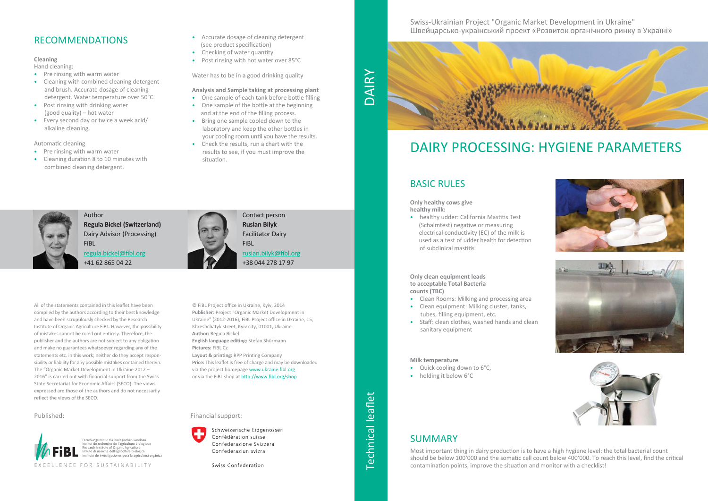### Financial support:



Schweizerische Eidgenossen Confédération suisse Confederazione Svizzera Confederaziun svizra

Swiss Confederation

### BASIC RULES

### **Only healthy cows give healthy milk:**

• healthy udder: California Mastitis Test (Schalmtest) negative or measuring electrical conductivity (EC) of the milk is used as a test of udder health for detection of subclinical mastitis

**Only clean equipment leads to acceptable Total Bacteria counts (TBC)**

- Clean Rooms: Milking and processing area
- Clean equipment: Milking cluster, tanks, tubes, filling equipment, etc.
- Staff: clean clothes, washed hands and clean sanitary equipment

### **Milk temperature**

- Quick cooling down to 6°C,
- holding it below 6°C

# DAIRY PROCESSING: HYGIENE PARAMETERS





Forschungsinstitut für biologischen Landbau Institut de recherche de l'agriculture biologique Research Institute of Organic Agriculture Istituto di ricerche dell'agricoltura biologica Instituto de investigaciones para la agricultura orgánica

EXCELLENCE FOR SUSTAINABILITY

### Published:



### SUMMARY

Most important thing in dairy production is to have a high hygiene level: the total bacterial count should be below 100'000 and the somatic cell count below 400'000. To reach this level, find the critical contamination points, improve the situation and monitor with a checklist!

Author **Regula Bickel (Switzerland)** Dairy Advisor (Processing) FiBL

regula.bickel@fibl.org +41 62 865 04 22



Contact person **Ruslan Bilyk** Facilitator Dairy FiBL ruslan.bilyk@fibl.org +38 044 278 17 97

### Swiss‐Ukrainian Project "Organic Market Development in Ukraine" Швейцарсько‐український проект «Розвиток органічного ринку в Україні»



## RECOMMENDATIONS

### **Cleaning**

Hand cleaning:

- Pre rinsing with warm water
- Cleaning with combined cleaning detergent and brush. Accurate dosage of cleaning detergent. Water temperature over 50°C.
- Post rinsing with drinking water (good quality) – hot water
- Every second day or twice a week acid/ alkaline cleaning.

### Automatic cleaning

# Technical leaflet DAIRY**Technical leaflet**

- Pre rinsing with warm water
- Cleaning duration 8 to 10 minutes with combined cleaning detergent.
- Accurate dosage of cleaning detergent (see product specification)
- Checking of water quantity
- Post rinsing with hot water over 85°C

Water has to be in a good drinking quality

### **Analysis and Sample taking at processing plant**

- One sample of each tank before bottle filling
- One sample of the bottle at the beginning and at the end of the filling process.
- Bring one sample cooled down to the laboratory and keep the other bottles in your cooling room until you have the results.
- Check the results, run a chart with the results to see, if you must improve the situation.



© FiBL Project office in Ukraine, Kyiv, 2014 **Publisher:** Project "Organic Market Development in Ukraine" (2012‐2016), FiBL Project office in Ukraine, 15, Khreshchatyk street, Kyiv city, 01001, Ukraine **Author:** Regula Bickel **English language editing:** Stefan Shürmann **Pictures:** FiBL Cz **Layout & printing:** RPP Printing Company **Price:** This leaflet is free of charge and may be downloaded via the project homepage www.ukraine.fibl.org or via the FiBL shop at http://www.fibl.org/shop

All of the statements contained in this leaflet have been compiled by the authors according to their best knowledge and have been scrupulously checked by the Research Institute of Organic Agriculture FiBL. However, the possibility of mistakes cannot be ruled out entirely. Therefore, the publisher and the authors are not subject to any obligation and make no guarantees whatsoever regarding any of the statements etc. in this work; neither do they accept responsibility or liability for any possible mistakes contained therein. The "Organic Market Development in Ukraine 2012 – 2016" is carried out with financial support from the Swiss State Secretariat for Economic Affairs (SECO). The views expressed are those of the authors and do not necessarily reflect the views of the SECO.